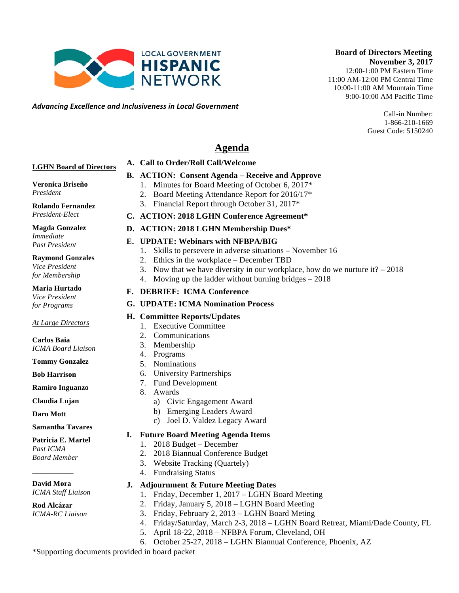*Advancing)Excellence)and)Inclusiveness)in)Local)Government*

#### **Board of Directors Meeting November 3, 2017**

12:00-1:00 PM Eastern Time 11:00 AM-12:00 PM Central Time 10:00-11:00 AM Mountain Time 9:00-10:00 AM Pacific Time

> Call-in Number: 1-866-210-1669 Guest Code: 5150240

# **Agenda**

#### **LGHN Board of Directors**

#### **B. ACTION: Consent Agenda – Receive and Approve**

- 1. Minutes for Board Meeting of October 6, 2017\*
	- 2. Board Meeting Attendance Report for 2016/17\*
	- 3. Financial Report through October 31, 2017\*
- **C. ACTION: 2018 LGHN Conference Agreement\***
- **D. ACTION: 2018 LGHN Membership Dues\***

#### **E. UPDATE: Webinars with NFBPA/BIG**

**A. Call to Order/Roll Call/Welcome** 

**LOCAL GOVERNMENT HISPANIC NETWORK** 

- 1. Skills to persevere in adverse situations November 16
- 2. Ethics in the workplace December TBD
- 3. Now that we have diversity in our workplace, how do we nurture it? 2018
- 4. Moving up the ladder without burning bridges 2018

#### **F. DEBRIEF: ICMA Conference**

**G. UPDATE: ICMA Nomination Process**

#### **H. Committee Reports/Updates**

- 1. Executive Committee
- 2. Communications
- 3. Membership
- 4. Programs
- 5. Nominations
- 6. University Partnerships
- 7. Fund Development
- 8. Awards
	- a) Civic Engagement Award
	- b) Emerging Leaders Award
	- c) Joel D. Valdez Legacy Award

#### **I. Future Board Meeting Agenda Items**

- 1. 2018 Budget December
- 2. 2018 Biannual Conference Budget
- 3. Website Tracking (Quartely)
- 4. Fundraising Status
- **J. Adjournment & Future Meeting Dates** 
	- 1. Friday, December 1, 2017 LGHN Board Meeting
	- 2. Friday, January 5, 2018 LGHN Board Meeting
	- 3. Friday, February 2, 2013 LGHN Board Meting
	- 4. Friday/Saturday, March 2-3, 2018 LGHN Board Retreat, Miami/Dade County, FL
	- 5. April 18-22, 2018 NFBPA Forum, Cleveland, OH
- 6. October 25-27, 2018 LGHN Biannual Conference, Phoenix, AZ

\*Supporting documents provided in board packet

# **Veronica Briseño**

*President*

**Rolando Fernandez** *President-Elect*

**Magda Gonzalez** *Immediate Past President*

### **Raymond Gonzales**

*Vice President for Membership*

**Maria Hurtado**

*Vice President for Programs*

**Carlos Baia**

**Tommy Gonzalez**

**Ramiro Inguanzo**

#### **Samantha Tavares**

*ICMA Staff Liaison*

**Rod Alcázar** *ICMA-RC Liaison*

*At Large Directors*

*ICMA Board Liaison*

**Bob Harrison**

**Claudia Lujan**

#### **Patricia E. Martel**

# *Past ICMA*

# *Board Member*

## **David Mora**

**Daro Mott**

# \_\_\_\_\_\_\_\_\_\_\_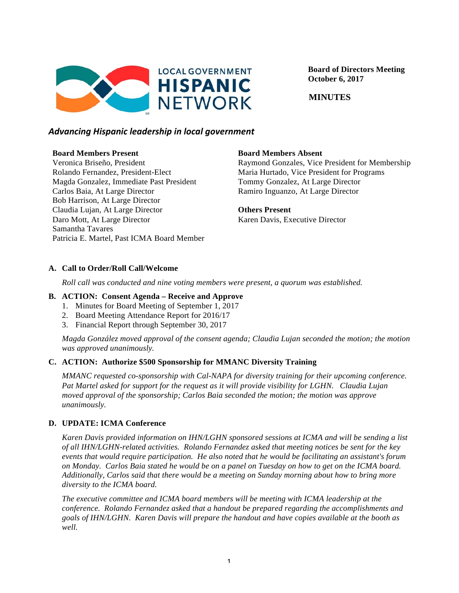

 **Board of Directors Meeting October 6, 2017**

 **MINUTES**

### *Advancing)Hispanic)leadership)in)local)government*

#### **Board Members Present**

Veronica Briseño, President Rolando Fernandez, President-Elect Magda Gonzalez, Immediate Past President Carlos Baia, At Large Director Bob Harrison, At Large Director Claudia Lujan, At Large Director Daro Mott, At Large Director Samantha Tavares Patricia E. Martel, Past ICMA Board Member

### **Board Members Absent**

Raymond Gonzales, Vice President for Membership Maria Hurtado, Vice President for Programs Tommy Gonzalez, At Large Director Ramiro Inguanzo, At Large Director

**Others Present** Karen Davis, Executive Director

### **A. Call to Order/Roll Call/Welcome**

*Roll call was conducted and nine voting members were present, a quorum was established.*

#### **B. ACTION: Consent Agenda – Receive and Approve**

- 1. Minutes for Board Meeting of September 1, 2017
- 2. Board Meeting Attendance Report for 2016/17
- 3. Financial Report through September 30, 2017

*Magda González moved approval of the consent agenda; Claudia Lujan seconded the motion; the motion was approved unanimously.*

### **C. ACTION: Authorize \$500 Sponsorship for MMANC Diversity Training**

*MMANC requested co-sponsorship with Cal-NAPA for diversity training for their upcoming conference. Pat Martel asked for support for the request as it will provide visibility for LGHN. Claudia Lujan moved approval of the sponsorship; Carlos Baia seconded the motion; the motion was approve unanimously.* 

### **D. UPDATE: ICMA Conference**

*Karen Davis provided information on IHN/LGHN sponsored sessions at ICMA and will be sending a list of all IHN/LGHN-related activities. Rolando Fernandez asked that meeting notices be sent for the key events that would require participation. He also noted that he would be facilitating an assistant's forum on Monday. Carlos Baia stated he would be on a panel on Tuesday on how to get on the ICMA board. Additionally, Carlos said that there would be a meeting on Sunday morning about how to bring more diversity to the ICMA board.* 

*The executive committee and ICMA board members will be meeting with ICMA leadership at the conference. Rolando Fernandez asked that a handout be prepared regarding the accomplishments and goals of IHN/LGHN. Karen Davis will prepare the handout and have copies available at the booth as well.*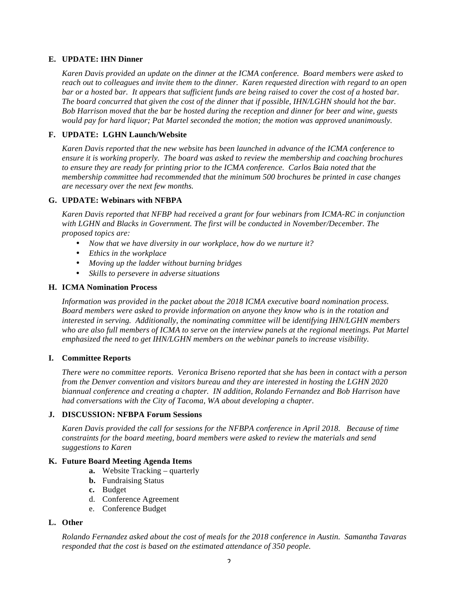#### **E. UPDATE: IHN Dinner**

*Karen Davis provided an update on the dinner at the ICMA conference. Board members were asked to reach out to colleagues and invite them to the dinner. Karen requested direction with regard to an open bar or a hosted bar. It appears that sufficient funds are being raised to cover the cost of a hosted bar. The board concurred that given the cost of the dinner that if possible, IHN/LGHN should hot the bar. Bob Harrison moved that the bar be hosted during the reception and dinner for beer and wine, guests would pay for hard liquor; Pat Martel seconded the motion; the motion was approved unanimously.*

#### **F. UPDATE: LGHN Launch/Website**

*Karen Davis reported that the new website has been launched in advance of the ICMA conference to ensure it is working properly. The board was asked to review the membership and coaching brochures to ensure they are ready for printing prior to the ICMA conference. Carlos Baia noted that the membership committee had recommended that the minimum 500 brochures be printed in case changes are necessary over the next few months.* 

#### **G. UPDATE: Webinars with NFBPA**

*Karen Davis reported that NFBP had received a grant for four webinars from ICMA-RC in conjunction with LGHN and Blacks in Government. The first will be conducted in November/December. The proposed topics are:*

- *Now that we have diversity in our workplace, how do we nurture it?*
- *Ethics in the workplace*
- *Moving up the ladder without burning bridges*
- *Skills to persevere in adverse situations*

#### **H. ICMA Nomination Process**

*Information was provided in the packet about the 2018 ICMA executive board nomination process. Board members were asked to provide information on anyone they know who is in the rotation and interested in serving. Additionally, the nominating committee will be identifying IHN/LGHN members who are also full members of ICMA to serve on the interview panels at the regional meetings. Pat Martel emphasized the need to get IHN/LGHN members on the webinar panels to increase visibility.*

#### **I. Committee Reports**

*There were no committee reports. Veronica Briseno reported that she has been in contact with a person from the Denver convention and visitors bureau and they are interested in hosting the LGHN 2020 biannual conference and creating a chapter. IN addition, Rolando Fernandez and Bob Harrison have had conversations with the City of Tacoma, WA about developing a chapter.*

#### **J. DISCUSSION: NFBPA Forum Sessions**

*Karen Davis provided the call for sessions for the NFBPA conference in April 2018. Because of time constraints for the board meeting, board members were asked to review the materials and send suggestions to Karen*

#### **K. Future Board Meeting Agenda Items**

- **a.** Website Tracking *–* quarterly
- **b.** Fundraising Status
- **c.** Budget
- d. Conference Agreement
- e. Conference Budget

#### **L. Other**

*Rolando Fernandez asked about the cost of meals for the 2018 conference in Austin. Samantha Tavaras responded that the cost is based on the estimated attendance of 350 people.*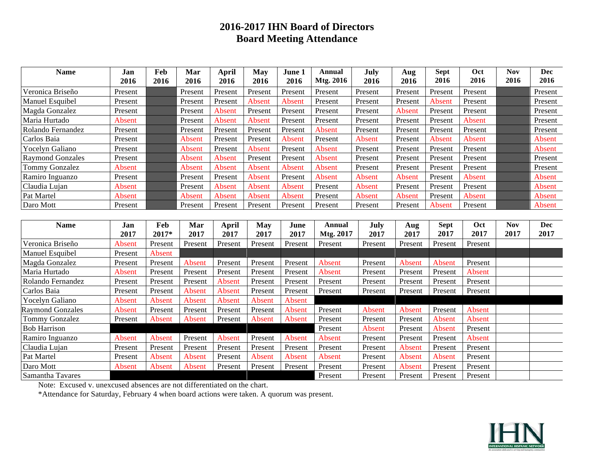# **2016-2017 IHN Board of Directors Board Meeting Attendance**

| <b>Name</b>             | Jan           | Feb     | Mar           | April        | <b>May</b>    | June 1        | <b>Annual</b> | July    | Aug           | <b>Sept</b> | Oct           | <b>Nov</b> | <b>Dec</b> |
|-------------------------|---------------|---------|---------------|--------------|---------------|---------------|---------------|---------|---------------|-------------|---------------|------------|------------|
|                         | 2016          | 2016    | 2016          | 2016         | 2016          | 2016          | Mtg. 2016     | 2016    | 2016          | 2016        | 2016          | 2016       | 2016       |
| Veronica Briseño        | Present       |         | Present       | Present      | Present       | Present       | Present       | Present | Present       | Present     | Present       |            | Present    |
| Manuel Esquibel         | Present       |         | Present       | Present      | <b>Absent</b> | Absent        | Present       | Present | Present       | Absent      | Present       |            | Present    |
| Magda Gonzalez          | Present       |         | Present       | Absent       | Present       | Present       | Present       | Present | Absent        | Present     | Present       |            | Present    |
| Maria Hurtado           | Absent        |         | Present       | Absent       | Absent        | Present       | Present       | Present | Present       | Present     | Absent        |            | Present    |
| Rolando Fernandez       | Present       |         | Present       | Present      | Present       | Present       | Absent        | Present | Present       | Present     | Present       |            | Present    |
| Carlos Baia             | Present       |         | Absent        | Present      | Present       | <b>Absent</b> | Present       | Absent  | Present       | Absent      | <b>Absent</b> |            | Absent     |
| Yocelyn Galiano         | Present       |         | Absent        | Present      | Absent        | Present       | Absent        | Present | Present       | Present     | Present       |            | Absent     |
| <b>Raymond Gonzales</b> | Present       |         | Absent        | Absent       | Present       | Present       | Absent        | Present | Present       | Present     | Present       |            | Present    |
| Tommy Gonzalez          | <b>Absent</b> |         | Absent        | Absent       | Absent        | Absent        | Absent        | Present | Present       | Present     | Present       |            | Present    |
| Ramiro Inguanzo         | Present       |         | Present       | Present      | Absent        | Present       | Absent        | Absent  | Absent        | Present     | Absent        |            | Absent     |
| Claudia Lujan           | Absent        |         | Present       | Absent       | Absent        | Absent        | Present       | Absent  | Present       | Present     | Present       |            | Absent     |
| Pat Martel              | Absent        |         | Absent        | Absent       | Absent        | Absent        | Present       | Absent  | Absent        | Present     | Absent        |            | Absent     |
| Daro Mott               | Present       |         | Present       | Present      | Present       | Present       | Present       | Present | Present       | Absent      | Present       |            | Absent     |
|                         |               |         |               |              |               |               |               |         |               |             |               |            |            |
| <b>Name</b>             | Jan           | Feb     | Mar           | <b>April</b> | <b>May</b>    | June          | <b>Annual</b> | July    | Aug           | <b>Sept</b> | Oct           | <b>Nov</b> | <b>Dec</b> |
|                         | 2017          | 2017*   | 2017          | 2017         | 2017          | 2017          | Mtg. 2017     | 2017    | 2017          | 2017        | 2017          | 2017       | 2017       |
| Veronica Briseño        | Absent        | Present | Present       | Present      | Present       | Present       | Present       | Present | Present       | Present     | Present       |            |            |
| Manuel Esquibel         | Present       | Absent  |               |              |               |               |               |         |               |             |               |            |            |
| Magda Gonzalez          | Present       | Present | Absent        | Present      | Present       | Present       | Absent        | Present | Absent        | Absent      | Present       |            |            |
| Maria Hurtado           | Absent        | Present | Present       | Present      | Present       | Present       | Absent        | Present | Present       | Present     | Absent        |            |            |
| Rolando Fernandez       | Present       | Present | Present       | Absent       | Present       | Present       | Present       | Present | Present       | Present     | Present       |            |            |
| Carlos Baia             | Present       | Present | <b>Absent</b> | Absent       | Present       | Present       | Present       | Present | Present       | Present     | Present       |            |            |
| Yocelyn Galiano         | Absent        | Absent  | Absent        | Absent       | Absent        | Absent        |               |         |               |             |               |            |            |
| <b>Raymond Gonzales</b> | Absent        | Present | Present       | Present      | Present       | Absent        | Present       | Absent  | Absent        | Present     | Absent        |            |            |
| <b>Tommy Gonzalez</b>   | Present       | Absent  | Absent        | Present      | Absent        | Absent        | Present       | Present | Present       | Absent      | Absent        |            |            |
| <b>Bob Harrison</b>     |               |         |               |              |               |               | Present       | Absent  | Present       | Absent      | Present       |            |            |
| Ramiro Inguanzo         | Absent        | Absent  | Present       | Absent       | Present       | Absent        | Absent        | Present | Present       | Present     | Absent        |            |            |
| Claudia Lujan           | Present       | Present | Present       | Present      | Present       | Present       | Present       | Present | <b>Absent</b> | Present     | Present       |            |            |
| Pat Martel              | Present       | Absent  | <b>Absent</b> | Present      | Absent        | Absent        | Absent        | Present | <b>Absent</b> | Absent      | Present       |            |            |
| Daro Mott               | Absent        | Absent  | Absent        | Present      | Present       | Present       | Present       | Present | <b>Absent</b> | Present     | Present       |            |            |
| Samantha Tavares        |               |         |               |              |               |               | Present       | Present | Present       | Present     | Present       |            |            |

Note: Excused v. unexcused absences are not differentiated on the chart.

\*Attendance for Saturday, February 4 when board actions were taken. A quorum was present.

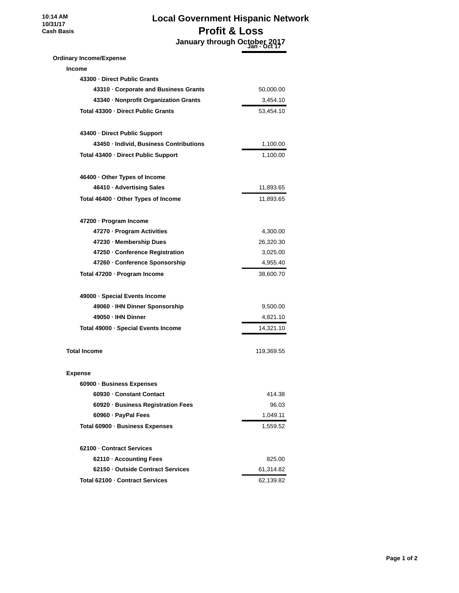# **Local Government Hispanic Network Profit & Loss January through October 2017 Jan - Oct 17**

# **Ordinary Income/Expense Income**

| 43300 Direct Public Grants                |            |
|-------------------------------------------|------------|
| 43310 Corporate and Business Grants       | 50,000.00  |
| 43340 · Nonprofit Organization Grants     | 3,454.10   |
| Total 43300 Direct Public Grants          | 53,454.10  |
| 43400 Direct Public Support               |            |
| 43450 · Individ, Business Contributions   | 1,100.00   |
| Total 43400 · Direct Public Support       | 1,100.00   |
| 46400 Other Types of Income               |            |
| 46410 · Advertising Sales                 | 11,893.65  |
| Total $46400 \cdot$ Other Types of Income | 11,893.65  |
| 47200 · Program Income                    |            |
| 47270 · Program Activities                | 4,300.00   |
| 47230 Membership Dues                     | 26,320.30  |
| 47250 Conference Registration             | 3,025.00   |
| 47260 Conference Sponsorship              | 4,955.40   |
| Total 47200 · Program Income              | 38,600.70  |
| 49000 · Special Events Income             |            |
| 49060 · IHN Dinner Sponsorship            | 9,500.00   |
| 49050 · IHN Dinner                        | 4,821.10   |
| Total 49000 · Special Events Income       | 14,321.10  |
| <b>Total Income</b>                       | 119,369.55 |
| <b>Expense</b>                            |            |
| 60900 · Business Expenses                 |            |
| 60930 Constant Contact                    | 414.38     |
| 60920 · Business Registration Fees        | 96.03      |
| 60960 · PayPal Fees                       | 1,049.11   |
| Total 60900 · Business Expenses           | 1,559.52   |
| 62100 Contract Services                   |            |
| 62110 · Accounting Fees                   | 825.00     |
| 62150 Outside Contract Services           | 61,314.82  |
| Total 62100 Contract Services             | 62,139.82  |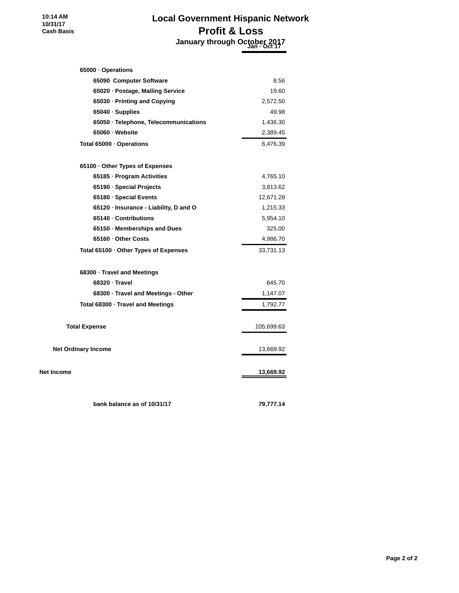# **Local Government Hispanic Network Profit & Loss January through October 2017 Jan - Oct 17**

| 65000 Operations                        |            |
|-----------------------------------------|------------|
| 65090 Computer Software                 | 8.56       |
| 65020 · Postage, Mailing Service        | 19.60      |
| 65030 · Printing and Copying            | 2,572.50   |
| $65040 \cdot$ Supplies                  | 49.98      |
| 65050 · Telephone, Telecommunications   | 1,436.30   |
| 65060 · Website                         | 2,389.45   |
| Total 65000 · Operations                | 6,476.39   |
| 65100 Other Types of Expenses           |            |
| 65185 · Program Activities              | 4,765.10   |
| 65190 · Special Projects                | 3,813.62   |
| 65180 · Special Events                  | 12,671.28  |
| 65120 · Insurance - Liability, D and O  | 1,215.33   |
| 65140 Contributions                     | 5,954.10   |
| 65150 Memberships and Dues              | 325.00     |
| 65160 Other Costs                       | 4,986.70   |
| Total 65100 · Other Types of Expenses   | 33,731.13  |
| 68300 · Travel and Meetings             |            |
| 68320 Travel                            | 645.70     |
| 68300 · Travel and Meetings - Other     | 1,147.07   |
| Total $68300 \cdot$ Travel and Meetings | 1,792.77   |
| <b>Total Expense</b>                    | 105,699.63 |
| <b>Net Ordinary Income</b>              | 13,669.92  |
| <b>Net Income</b>                       | 13,669.92  |
| bank balance as of 10/31/17             | 79,777.14  |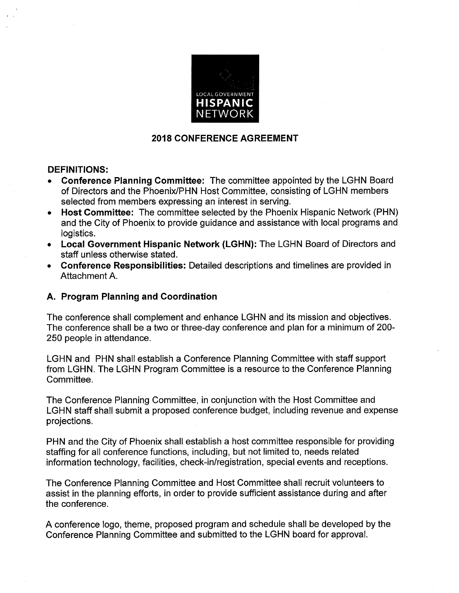

### **2018 CONFERENCE AGREEMENT**

### **DEFINITIONS:**

- **Conference Planning Committee:** The committee appointed by the LGHN Board of Directors and the Phoenix/PHN Host Committee, consisting of LGHN members selected from members expressing an interest in serving.
- Host Committee: The committee selected by the Phoenix Hispanic Network (PHN)  $\bullet$ and the City of Phoenix to provide guidance and assistance with local programs and logistics.
- Local Government Hispanic Network (LGHN): The LGHN Board of Directors and staff unless otherwise stated.
- Conference Responsibilities: Detailed descriptions and timelines are provided in Attachment A.

### A. Program Planning and Coordination

The conference shall complement and enhance LGHN and its mission and objectives. The conference shall be a two or three-day conference and plan for a minimum of 200-250 people in attendance.

LGHN and PHN shall establish a Conference Planning Committee with staff support from LGHN. The LGHN Program Committee is a resource to the Conference Planning Committee.

The Conference Planning Committee, in conjunction with the Host Committee and LGHN staff shall submit a proposed conference budget, including revenue and expense projections.

PHN and the City of Phoenix shall establish a host committee responsible for providing staffing for all conference functions, including, but not limited to, needs related information technology, facilities, check-in/registration, special events and receptions.

The Conference Planning Committee and Host Committee shall recruit volunteers to assist in the planning efforts, in order to provide sufficient assistance during and after the conference.

A conference logo, theme, proposed program and schedule shall be developed by the Conference Planning Committee and submitted to the LGHN board for approval.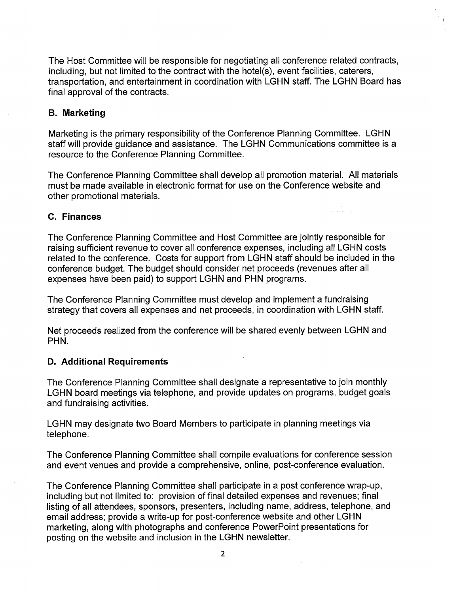The Host Committee will be responsible for negotiating all conference related contracts, including, but not limited to the contract with the hotel(s), event facilities, caterers, transportation, and entertainment in coordination with LGHN staff. The LGHN Board has final approval of the contracts.

### **B. Marketing**

Marketing is the primary responsibility of the Conference Planning Committee. LGHN staff will provide guidance and assistance. The LGHN Communications committee is a resource to the Conference Planning Committee.

The Conference Planning Committee shall develop all promotion material. All materials must be made available in electronic format for use on the Conference website and other promotional materials.

### C. Finances

The Conference Planning Committee and Host Committee are jointly responsible for raising sufficient revenue to cover all conference expenses, including all LGHN costs related to the conference. Costs for support from LGHN staff should be included in the conference budget. The budget should consider net proceeds (revenues after all expenses have been paid) to support LGHN and PHN programs.

The Conference Planning Committee must develop and implement a fundraising strategy that covers all expenses and net proceeds, in coordination with LGHN staff.

Net proceeds realized from the conference will be shared evenly between LGHN and PHN.

### **D. Additional Requirements**

The Conference Planning Committee shall designate a representative to join monthly LGHN board meetings via telephone, and provide updates on programs, budget goals and fundraising activities.

LGHN may designate two Board Members to participate in planning meetings via telephone.

The Conference Planning Committee shall compile evaluations for conference session and event venues and provide a comprehensive, online, post-conference evaluation.

The Conference Planning Committee shall participate in a post conference wrap-up, including but not limited to: provision of final detailed expenses and revenues; final listing of all attendees, sponsors, presenters, including name, address, telephone, and email address; provide a write-up for post-conference website and other LGHN marketing, along with photographs and conference PowerPoint presentations for posting on the website and inclusion in the LGHN newsletter.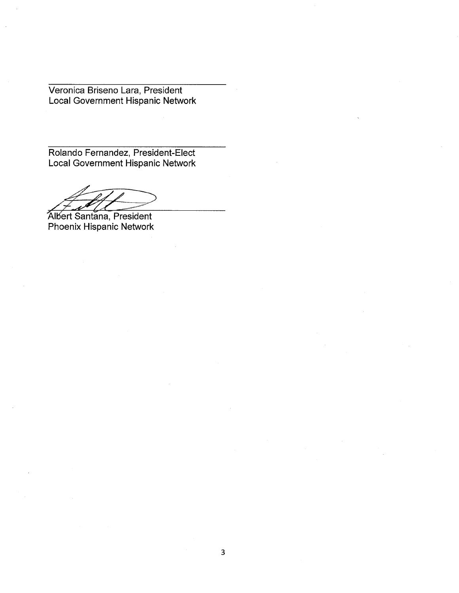Veronica Briseno Lara, President Local Government Hispanic Network

Rolando Fernandez, President-Elect Local Government Hispanic Network

 $\overline{\mathcal{A}}$ 

Albert Santana, President Phoenix Hispanic Network